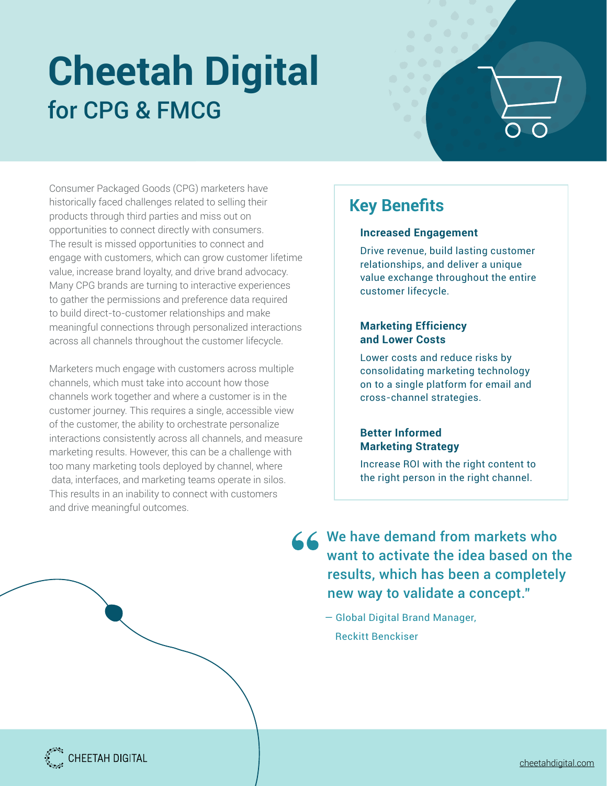# **Cheetah Digital**  for CPG & FMCG



Consumer Packaged Goods (CPG) marketers have historically faced challenges related to selling their products through third parties and miss out on opportunities to connect directly with consumers. The result is missed opportunities to connect and engage with customers, which can grow customer lifetime value, increase brand loyalty, and drive brand advocacy. Many CPG brands are turning to interactive experiences to gather the permissions and preference data required to build direct-to-customer relationships and make meaningful connections through personalized interactions across all channels throughout the customer lifecycle.

Marketers much engage with customers across multiple channels, which must take into account how those channels work together and where a customer is in the customer journey. This requires a single, accessible view of the customer, the ability to orchestrate personalize interactions consistently across all channels, and measure marketing results. However, this can be a challenge with too many marketing tools deployed by channel, where data, interfaces, and marketing teams operate in silos. This results in an inability to connect with customers and drive meaningful outcomes.

## **Key Benefits**

#### **Increased Engagement**

Drive revenue, build lasting customer relationships, and deliver a unique value exchange throughout the entire customer lifecycle.

#### **Marketing Efficiency and Lower Costs**

Lower costs and reduce risks by consolidating marketing technology on to a single platform for email and cross-channel strategies.

#### **Better Informed Marketing Strategy**

Increase ROI with the right content to the right person in the right channel.

**<<< We have demand from markets who** want to activate the idea based on the results, which has been a completely new way to validate a concept."

> — Global Digital Brand Manager, Reckitt Benckiser